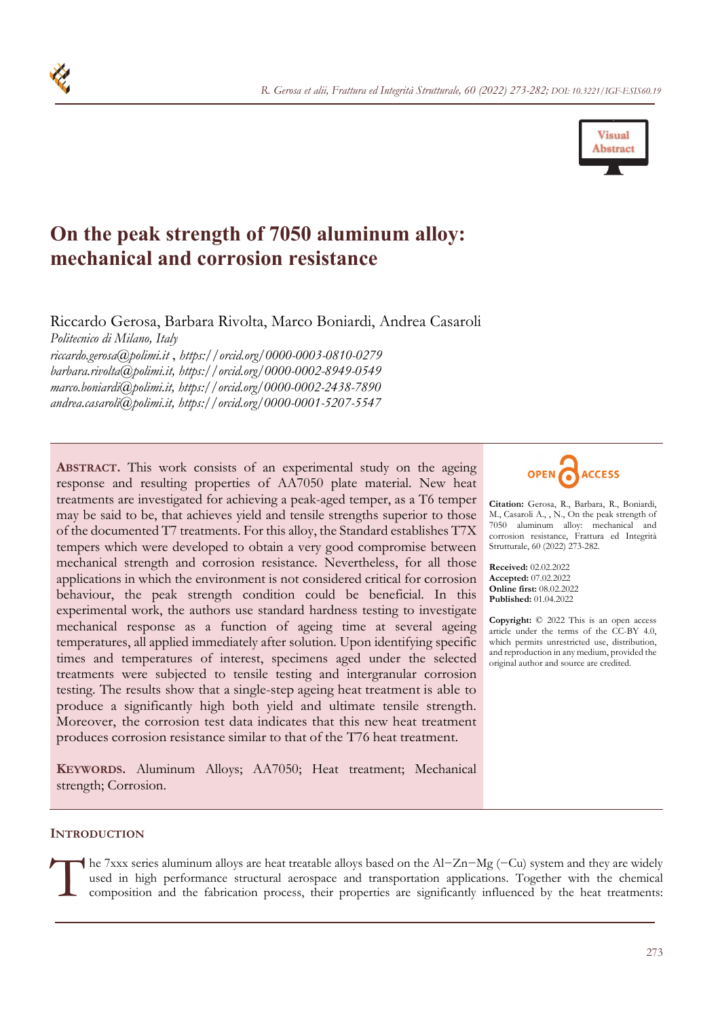

# **On the peak strength of 7050 aluminum alloy: mechanical and corrosion resistance**

Riccardo Gerosa, Barbara Rivolta, Marco Boniardi, Andrea Casaroli *Politecnico di Milano, Italy riccardo.gerosa@polimi.it* , *https://orcid.org/0000-0003-0810-0279 barbara.rivolta@polimi.it, https://orcid.org/0000-0002-8949-0549* 

*marco.boniardi@polimi.it, https://orcid.org/0000-0002-2438-7890 andrea.casaroli@polimi.it, https://orcid.org/0000-0001-5207-5547* 

**ABSTRACT.** This work consists of an experimental study on the ageing response and resulting properties of AA7050 plate material. New heat treatments are investigated for achieving a peak-aged temper, as a T6 temper may be said to be, that achieves yield and tensile strengths superior to those of the documented T7 treatments. For this alloy, the Standard establishes T7X tempers which were developed to obtain a very good compromise between mechanical strength and corrosion resistance. Nevertheless, for all those applications in which the environment is not considered critical for corrosion behaviour, the peak strength condition could be beneficial. In this experimental work, the authors use standard hardness testing to investigate mechanical response as a function of ageing time at several ageing temperatures, all applied immediately after solution. Upon identifying specific times and temperatures of interest, specimens aged under the selected treatments were subjected to tensile testing and intergranular corrosion testing. The results show that a single-step ageing heat treatment is able to produce a significantly high both yield and ultimate tensile strength. Moreover, the corrosion test data indicates that this new heat treatment produces corrosion resistance similar to that of the T76 heat treatment.

**KEYWORDS.** Aluminum Alloys; AA7050; Heat treatment; Mechanical strength; Corrosion.



**Citation:** Gerosa, R., Barbara, R., Boniardi, M., Casaroli A., , N., On the peak strength of 7050 aluminum alloy: mechanical and corrosion resistance, Frattura ed Integrità Strutturale, 60 (2022) 273-282.

**Received:** 02.02.2022 **Accepted:** 07.02.2022 **Online first:** 08.02.2022 **Published:** 01.04.2022

**Copyright:** © 2022 This is an open access article under the terms of the CC-BY 4.0, which permits unrestricted use, distribution, and reproduction in any medium, provided the original author and source are credited.

### **INTRODUCTION**

he 7xxx series aluminum alloys are heat treatable alloys based on the Al-Zn-Mg (-Cu) system and they are widely used in high performance structural aerospace and transportation applications. Together with the chemical comp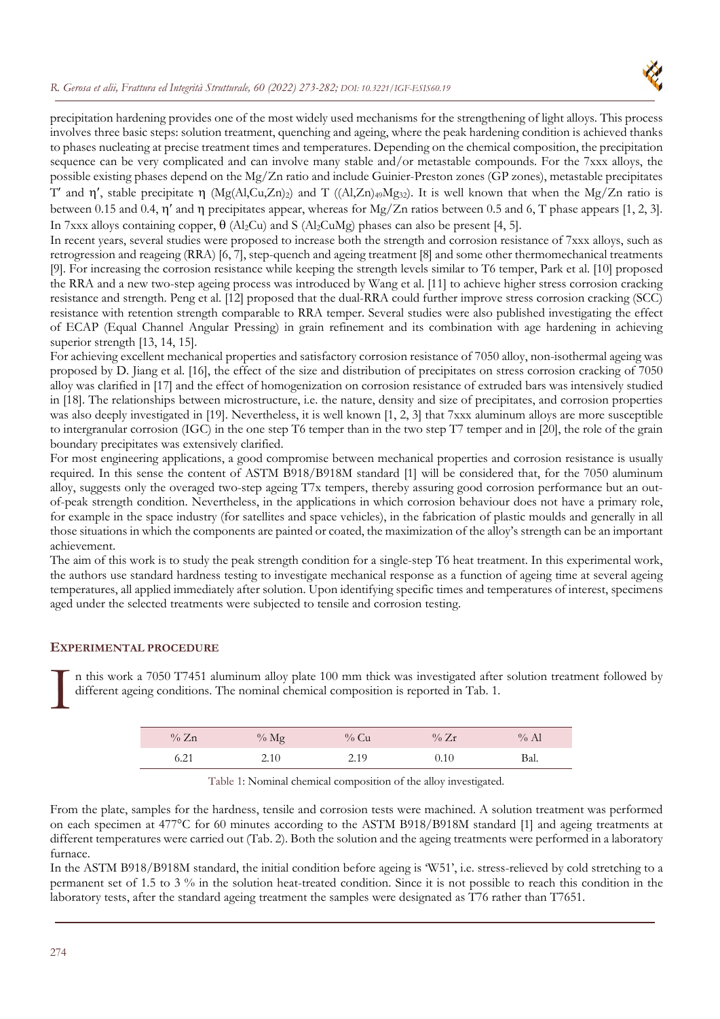#### *R. Gerosa et alii, Frattura ed Integrità Strutturale, 60 (2022) 273-282; DOI: 10.3221/IGF-ESIS60.19*



precipitation hardening provides one of the most widely used mechanisms for the strengthening of light alloys. This process involves three basic steps: solution treatment, quenching and ageing, where the peak hardening condition is achieved thanks to phases nucleating at precise treatment times and temperatures. Depending on the chemical composition, the precipitation sequence can be very complicated and can involve many stable and/or metastable compounds. For the 7xxx alloys, the possible existing phases depend on the Mg/Zn ratio and include Guinier-Preston zones (GP zones), metastable precipitates T' and  $\eta'$ , stable precipitate  $\eta$  (Mg(Al,Cu,Zn)<sub>2</sub>) and T ((Al,Zn)<sub>49</sub>Mg<sub>32</sub>). It is well known that when the Mg/Zn ratio is

between 0.15 and 0.4,  $\eta'$  and  $\eta$  precipitates appear, whereas for Mg/Zn ratios between 0.5 and 6, T phase appears [1, 2, 3]. In 7xxx alloys containing copper,  $\theta$  (Al<sub>2</sub>Cu) and S (Al<sub>2</sub>CuMg) phases can also be present [4, 5].

In recent years, several studies were proposed to increase both the strength and corrosion resistance of 7xxx alloys, such as retrogression and reageing (RRA) [6, 7], step-quench and ageing treatment [8] and some other thermomechanical treatments [9]. For increasing the corrosion resistance while keeping the strength levels similar to T6 temper, Park et al. [10] proposed the RRA and a new two-step ageing process was introduced by Wang et al. [11] to achieve higher stress corrosion cracking resistance and strength. Peng et al. [12] proposed that the dual-RRA could further improve stress corrosion cracking (SCC) resistance with retention strength comparable to RRA temper. Several studies were also published investigating the effect of ECAP (Equal Channel Angular Pressing) in grain refinement and its combination with age hardening in achieving superior strength [13, 14, 15].

For achieving excellent mechanical properties and satisfactory corrosion resistance of 7050 alloy, non-isothermal ageing was proposed by D. Jiang et al. [16], the effect of the size and distribution of precipitates on stress corrosion cracking of 7050 alloy was clarified in [17] and the effect of homogenization on corrosion resistance of extruded bars was intensively studied in [18]. The relationships between microstructure, i.e. the nature, density and size of precipitates, and corrosion properties was also deeply investigated in [19]. Nevertheless, it is well known [1, 2, 3] that 7xxx aluminum alloys are more susceptible to intergranular corrosion (IGC) in the one step T6 temper than in the two step T7 temper and in [20], the role of the grain boundary precipitates was extensively clarified.

For most engineering applications, a good compromise between mechanical properties and corrosion resistance is usually required. In this sense the content of ASTM B918/B918M standard [1] will be considered that, for the 7050 aluminum alloy, suggests only the overaged two-step ageing T7x tempers, thereby assuring good corrosion performance but an outof-peak strength condition. Nevertheless, in the applications in which corrosion behaviour does not have a primary role, for example in the space industry (for satellites and space vehicles), in the fabrication of plastic moulds and generally in all those situations in which the components are painted or coated, the maximization of the alloy's strength can be an important achievement.

The aim of this work is to study the peak strength condition for a single-step T6 heat treatment. In this experimental work, the authors use standard hardness testing to investigate mechanical response as a function of ageing time at several ageing temperatures, all applied immediately after solution. Upon identifying specific times and temperatures of interest, specimens aged under the selected treatments were subjected to tensile and corrosion testing.

## **EXPERIMENTAL PROCEDURE**

n this work a 7050 T7451 aluminum alloy plate 100 mm thick was investigated after solution treatment followed by different ageing conditions. The nominal chemical composition is reported in Tab. 1.  $\prod$  dif

| $\%$ Zn | $%$ Mg | $\%$ Cu | $\%$ Zr | $\%$ Al |
|---------|--------|---------|---------|---------|
| 6.21    | 2.10   | 2.19    | 0.10    | Bal.    |

Table 1: Nominal chemical composition of the alloy investigated.

From the plate, samples for the hardness, tensile and corrosion tests were machined. A solution treatment was performed on each specimen at 477°C for 60 minutes according to the ASTM B918/B918M standard [1] and ageing treatments at different temperatures were carried out (Tab. 2). Both the solution and the ageing treatments were performed in a laboratory furnace.

In the ASTM B918/B918M standard, the initial condition before ageing is 'W51', i.e. stress-relieved by cold stretching to a permanent set of 1.5 to 3 % in the solution heat-treated condition. Since it is not possible to reach this condition in the laboratory tests, after the standard ageing treatment the samples were designated as T76 rather than T7651.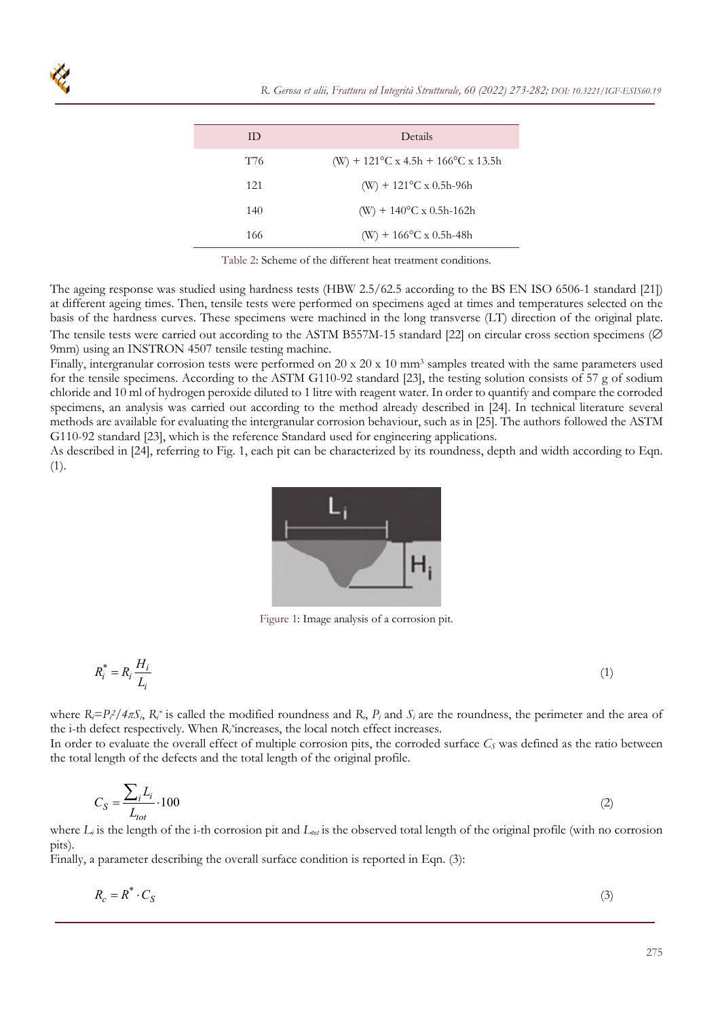| ID  | Details                                                |
|-----|--------------------------------------------------------|
| T76 | (W) + $121^{\circ}$ C x 4.5h + $166^{\circ}$ C x 13.5h |
| 121 | $(W) + 121^{\circ}C \times 0.5h-96h$                   |
| 140 | (W) + $140^{\circ}$ C x 0.5h-162h                      |
| 166 | $(W) + 166^{\circ}C \times 0.5h-48h$                   |
|     |                                                        |

Table 2: Scheme of the different heat treatment conditions.

The ageing response was studied using hardness tests (HBW 2.5/62.5 according to the BS EN ISO 6506-1 standard [21]) at different ageing times. Then, tensile tests were performed on specimens aged at times and temperatures selected on the basis of the hardness curves. These specimens were machined in the long transverse (LT) direction of the original plate. The tensile tests were carried out according to the ASTM B557M-15 standard [22] on circular cross section specimens ( $\varnothing$ 9mm) using an INSTRON 4507 tensile testing machine.

Finally, intergranular corrosion tests were performed on 20 x 20 x 10 mm<sup>3</sup> samples treated with the same parameters used for the tensile specimens. According to the ASTM G110-92 standard [23], the testing solution consists of 57 g of sodium chloride and 10 ml of hydrogen peroxide diluted to 1 litre with reagent water. In order to quantify and compare the corroded specimens, an analysis was carried out according to the method already described in [24]. In technical literature several methods are available for evaluating the intergranular corrosion behaviour, such as in [25]. The authors followed the ASTM G110-92 standard [23], which is the reference Standard used for engineering applications.

As described in [24], referring to Fig. 1, each pit can be characterized by its roundness, depth and width according to Eqn. (1).



Figure 1: Image analysis of a corrosion pit.

$$
R_i^* = R_i \frac{H_i}{L_i} \tag{1}
$$

where  $R_i = P_i^2 / 4\pi S_i$ ,  $R_i^*$  is called the modified roundness and  $R_i$ ,  $P_i$  and  $S_i$  are the roundness, the perimeter and the area of the i-th defect respectively. When *Ri \**increases, the local notch effect increases.

In order to evaluate the overall effect of multiple corrosion pits, the corroded surface  $C<sub>S</sub>$  was defined as the ratio between the total length of the defects and the total length of the original profile.

$$
C_S = \frac{\sum_i L_i}{L_{tot}} \cdot 100\tag{2}
$$

where  $L_i$  is the length of the i-th corrosion pit and  $L_{\omega i}$  is the observed total length of the original profile (with no corrosion pits).

Finally, a parameter describing the overall surface condition is reported in Eqn. (3):

$$
R_c = R^* \cdot C_S \tag{3}
$$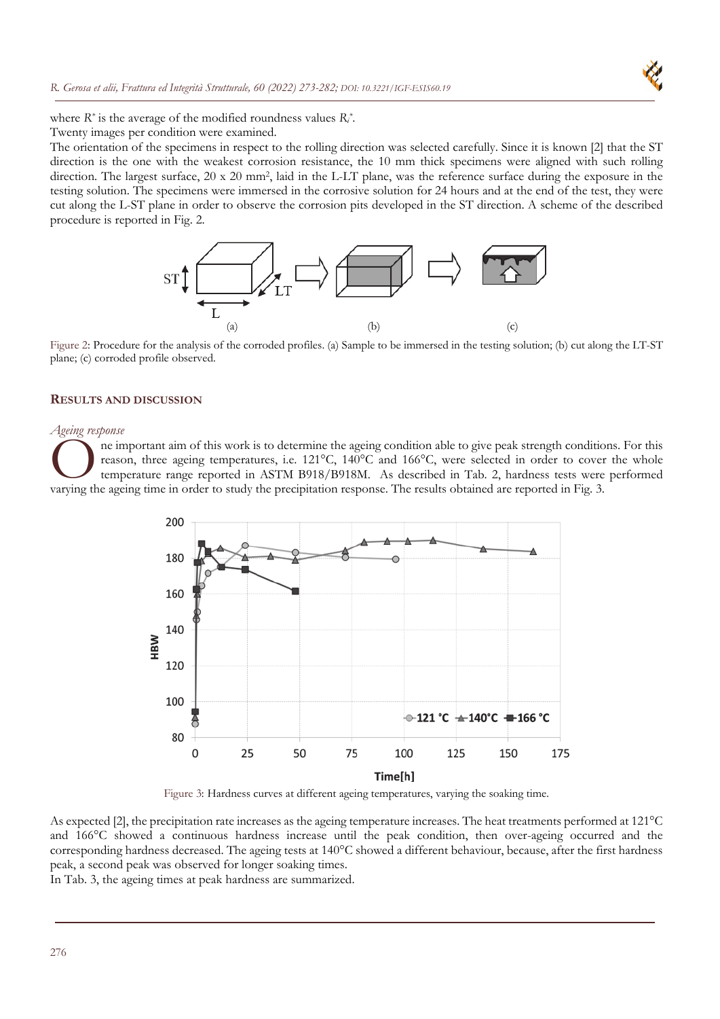

where *R\** is the average of the modified roundness values *Ri \**.

Twenty images per condition were examined.

The orientation of the specimens in respect to the rolling direction was selected carefully. Since it is known [2] that the ST direction is the one with the weakest corrosion resistance, the 10 mm thick specimens were aligned with such rolling direction. The largest surface, 20 x 20 mm<sup>2</sup>, laid in the L-LT plane, was the reference surface during the exposure in the testing solution. The specimens were immersed in the corrosive solution for 24 hours and at the end of the test, they were cut along the L-ST plane in order to observe the corrosion pits developed in the ST direction. A scheme of the described procedure is reported in Fig. 2.



Figure 2: Procedure for the analysis of the corroded profiles. (a) Sample to be immersed in the testing solution; (b) cut along the LT-ST plane; (c) corroded profile observed.

#### **RESULTS AND DISCUSSION**

#### *Ageing response*

ne important aim of this work is to determine the ageing condition able to give peak strength conditions. For this reason, three ageing temperatures, i.e. 121°C, 140°C and 166°C, were selected in order to cover the whole temperature range reported in ASTM B918/B918M. As described in Tab. 2, hardness tests were performed The important aim of this work is to determine the ageing condition able to give peak strength condition reason, three ageing temperatures, i.e. 121°C, 140°C and 166°C, were selected in order to cover temperature range rep



Figure 3: Hardness curves at different ageing temperatures, varying the soaking time.

As expected [2], the precipitation rate increases as the ageing temperature increases. The heat treatments performed at 121°C and 166°C showed a continuous hardness increase until the peak condition, then over-ageing occurred and the corresponding hardness decreased. The ageing tests at 140°C showed a different behaviour, because, after the first hardness peak, a second peak was observed for longer soaking times.

In Tab. 3, the ageing times at peak hardness are summarized.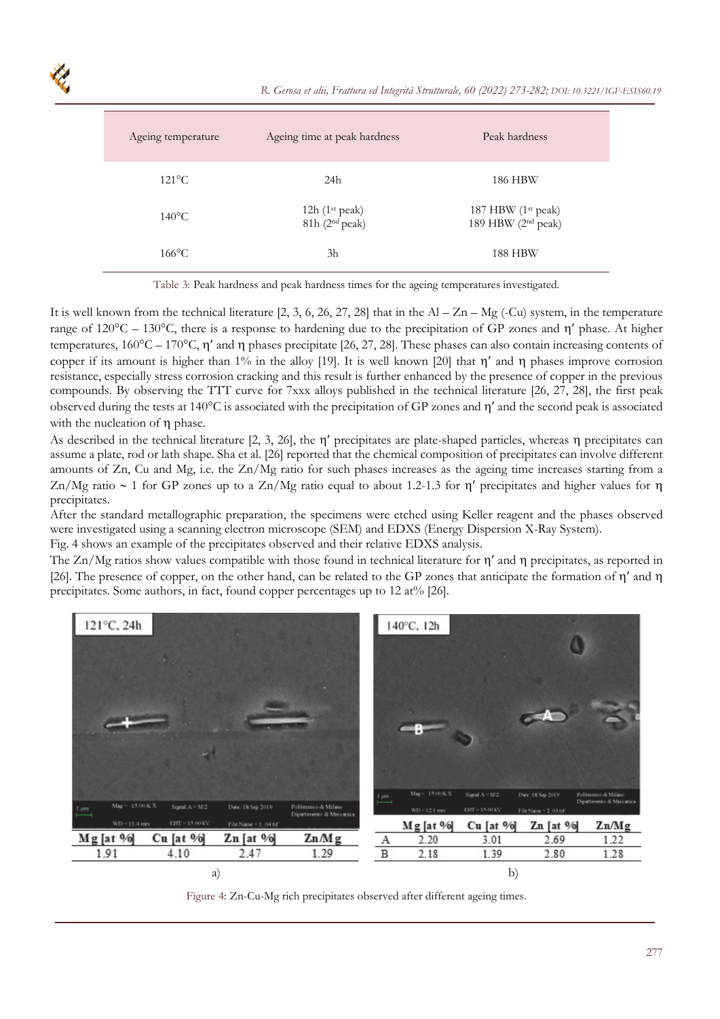| Ageing temperature | Ageing time at peak hardness                     | Peak hardness                                                    |
|--------------------|--------------------------------------------------|------------------------------------------------------------------|
| $121^{\circ}$ C    | 24h                                              | 186 HBW                                                          |
| $140^{\circ}$ C    | 12h $(1st peak)$<br>$81h$ (2 <sup>nd</sup> peak) | 187 HBW (1 <sup>st</sup> peak)<br>189 HBW (2 <sup>nd</sup> peak) |
| $166$ °C           | 3h                                               | 188 HBW                                                          |

Table 3: Peak hardness and peak hardness times for the ageing temperatures investigated.

It is well known from the technical literature [2, 3, 6, 26, 27, 28] that in the  $Al - Zn - Mg$  (-Cu) system, in the temperature range of  $120^{\circ}$ C –  $130^{\circ}$ C, there is a response to hardening due to the precipitation of GP zones and  $\eta'$  phase. At higher temperatures,  $160^{\circ}\text{C} - 170^{\circ}\text{C}$ ,  $\eta'$  and  $\eta$  phases precipitate [26, 27, 28]. These phases can also contain increasing contents of copper if its amount is higher than 1% in the alloy [19]. It is well known [20] that  $\eta'$  and  $\eta$  phases improve corrosion resistance, especially stress corrosion cracking and this result is further enhanced by the presence of copper in the previous compounds. By observing the TTT curve for 7xxx alloys published in the technical literature [26, 27, 28], the first peak observed during the tests at  $140^{\circ}$ C is associated with the precipitation of GP zones and  $\eta'$  and the second peak is associated with the nucleation of  $\eta$  phase.

As described in the technical literature  $[2, 3, 26]$ , the  $\eta'$  precipitates are plate-shaped particles, whereas  $\eta$  precipitates can assume a plate, rod or lath shape. Sha et al. [26] reported that the chemical composition of precipitates can involve different amounts of Zn, Cu and Mg, i.e. the Zn/Mg ratio for such phases increases as the ageing time increases starting from a  $\text{Zn}/\text{Mg}$  ratio  $\sim 1$  for GP zones up to a  $\text{Zn}/\text{Mg}$  ratio equal to about 1.2-1.3 for n' precipitates and higher values for n precipitates.

After the standard metallographic preparation, the specimens were etched using Keller reagent and the phases observed were investigated using a scanning electron microscope (SEM) and EDXS (Energy Dispersion X-Ray System). Fig. 4 shows an example of the precipitates observed and their relative EDXS analysis.

The  $Zn/Mg$  ratios show values compatible with those found in technical literature for  $\eta'$  and  $\eta$  precipitates, as reported in [26]. The presence of copper, on the other hand, can be related to the GP zones that anticipate the formation of  $\eta'$  and  $\eta$ precipitates. Some authors, in fact, found copper percentages up to 12 at% [26].



Figure 4: Zn-Cu-Mg rich precipitates observed after different ageing times.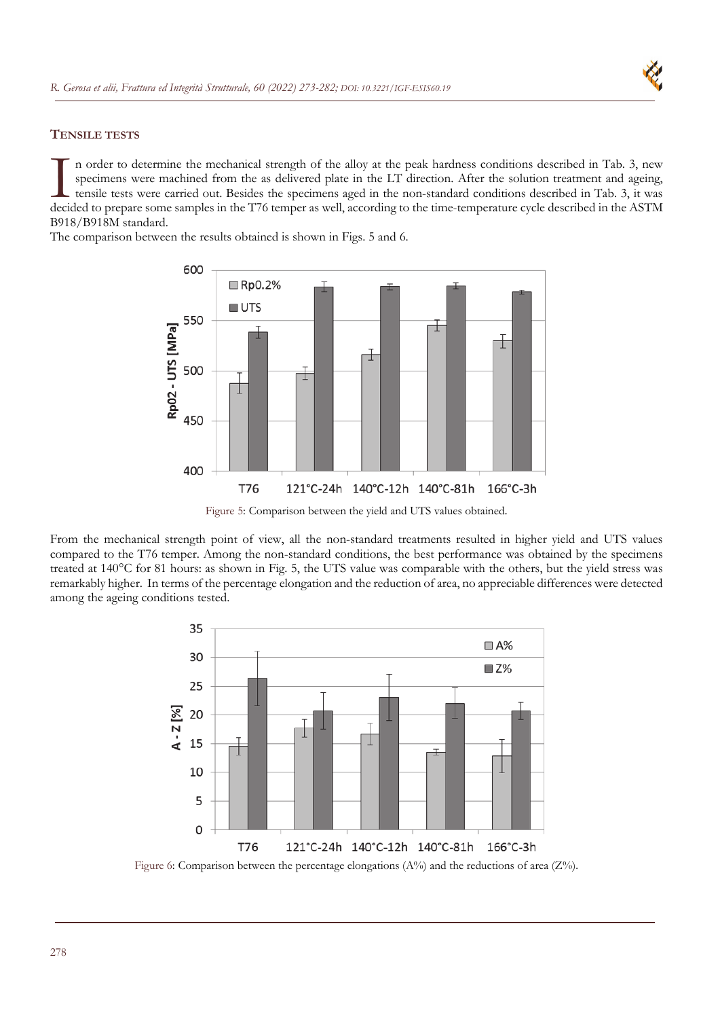

## **TENSILE TESTS**

n order to determine the mechanical strength of the alloy at the peak hardness conditions described in Tab. 3, new specimens were machined from the as delivered plate in the LT direction. After the solution treatment and ageing, tensile tests were carried out. Besides the specimens aged in the non-standard conditions described in Tab. 3, it was In order to determine the mechanical strength of the alloy at the peak hardness conditions described in Tab. 3, new specimens were machined from the as delivered plate in the LT direction. After the solution treatment and B918/B918M standard.

The comparison between the results obtained is shown in Figs. 5 and 6.



Figure 5: Comparison between the yield and UTS values obtained.

From the mechanical strength point of view, all the non-standard treatments resulted in higher yield and UTS values compared to the T76 temper. Among the non-standard conditions, the best performance was obtained by the specimens treated at 140°C for 81 hours: as shown in Fig. 5, the UTS value was comparable with the others, but the yield stress was remarkably higher. In terms of the percentage elongation and the reduction of area, no appreciable differences were detected among the ageing conditions tested.



Figure 6: Comparison between the percentage elongations ( $A\%$ ) and the reductions of area ( $Z\%$ ).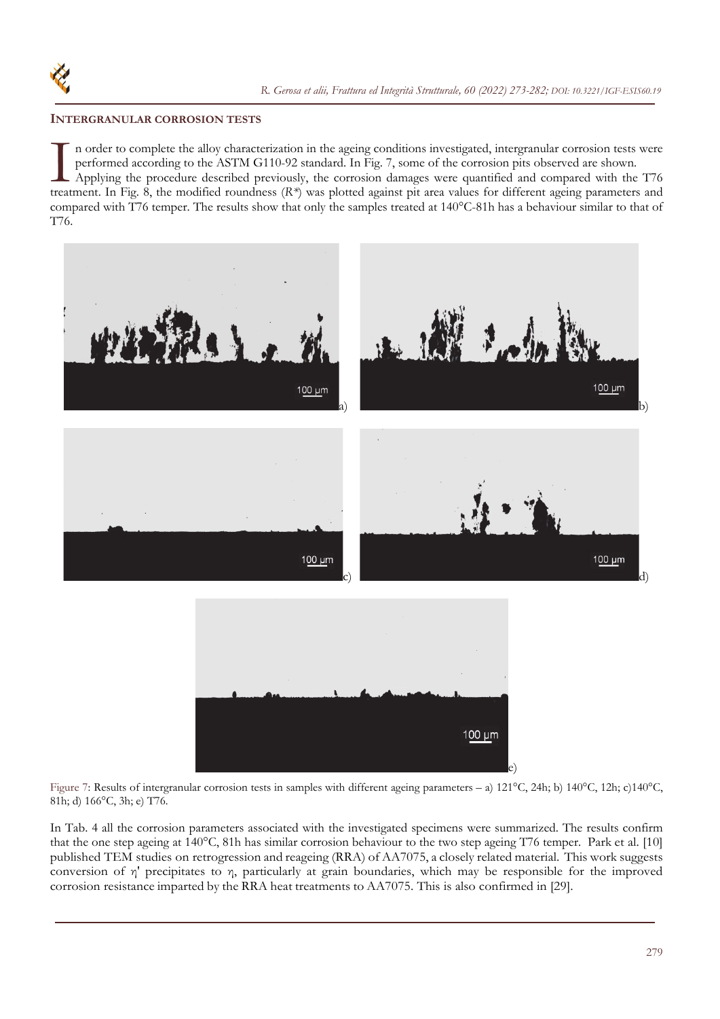## **INTERGRANULAR CORROSION TESTS**

n order to complete the alloy characterization in the ageing conditions investigated, intergranular corrosion tests were performed according to the ASTM G110-92 standard. In Fig. 7, some of the corrosion pits observed are shown. Applying the procedure described previously, the corrosion damages were quantified and compared with the T76 In order to complete the alloy characterization in the ageing conditions investigated, intergranular corrosion tests were performed according to the ASTM G110-92 standard. In Fig. 7, some of the corrosion pits observed are compared with T76 temper. The results show that only the samples treated at 140°C-81h has a behaviour similar to that of T76.



Figure 7: Results of intergranular corrosion tests in samples with different ageing parameters – a) 121°C, 24h; b) 140°C, 12h; c)140°C, 81h; d) 166°C, 3h; e) T76.

In Tab. 4 all the corrosion parameters associated with the investigated specimens were summarized. The results confirm that the one step ageing at 140°C, 81h has similar corrosion behaviour to the two step ageing T76 temper. Park et al. [10] published TEM studies on retrogression and reageing (RRA) of AA7075, a closely related material. This work suggests conversion of η' precipitates to η, particularly at grain boundaries, which may be responsible for the improved corrosion resistance imparted by the RRA heat treatments to AA7075. This is also confirmed in [29].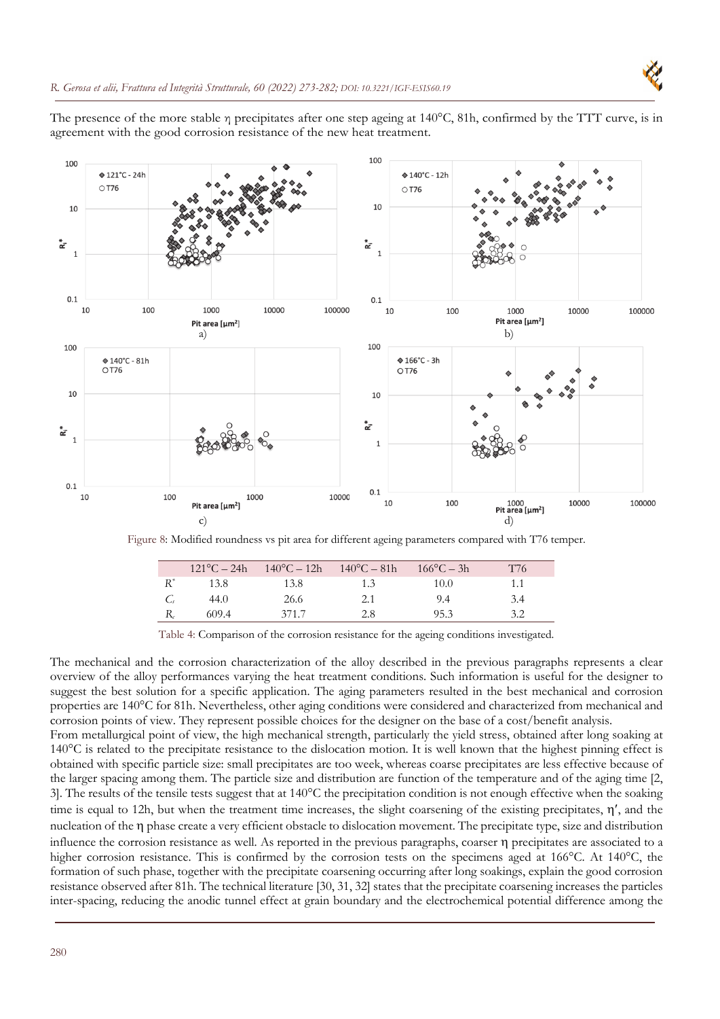



Figure 8: Modified roundness vs pit area for different ageing parameters compared with T76 temper.

| $121^{\circ}C - 24h$ | $140^{\circ}C - 12h$ | $140^{\circ}C - 81h$ | $166^{\circ}C - 3h$ | T76 |
|----------------------|----------------------|----------------------|---------------------|-----|
| 13.8                 | 13.8                 | 1.3                  | 10.0                | 1.1 |
| 44.0                 | 26.6                 | 2.1                  | 9.4                 | 3.4 |
| 609.4                | 371.7                | 2.8                  | 95.3                | 3.2 |

Table 4: Comparison of the corrosion resistance for the ageing conditions investigated.

The mechanical and the corrosion characterization of the alloy described in the previous paragraphs represents a clear overview of the alloy performances varying the heat treatment conditions. Such information is useful for the designer to suggest the best solution for a specific application. The aging parameters resulted in the best mechanical and corrosion properties are 140°C for 81h. Nevertheless, other aging conditions were considered and characterized from mechanical and corrosion points of view. They represent possible choices for the designer on the base of a cost/benefit analysis.

From metallurgical point of view, the high mechanical strength, particularly the yield stress, obtained after long soaking at 140°C is related to the precipitate resistance to the dislocation motion. It is well known that the highest pinning effect is obtained with specific particle size: small precipitates are too week, whereas coarse precipitates are less effective because of the larger spacing among them. The particle size and distribution are function of the temperature and of the aging time [2, 3]. The results of the tensile tests suggest that at 140°C the precipitation condition is not enough effective when the soaking time is equal to 12h, but when the treatment time increases, the slight coarsening of the existing precipitates,  $\eta'$ , and the nucleation of the  $\eta$  phase create a very efficient obstacle to dislocation movement. The precipitate type, size and distribution influence the corrosion resistance as well. As reported in the previous paragraphs, coarser precipitates are associated to a higher corrosion resistance. This is confirmed by the corrosion tests on the specimens aged at 166°C. At 140°C, the formation of such phase, together with the precipitate coarsening occurring after long soakings, explain the good corrosion resistance observed after 81h. The technical literature [30, 31, 32] states that the precipitate coarsening increases the particles inter-spacing, reducing the anodic tunnel effect at grain boundary and the electrochemical potential difference among the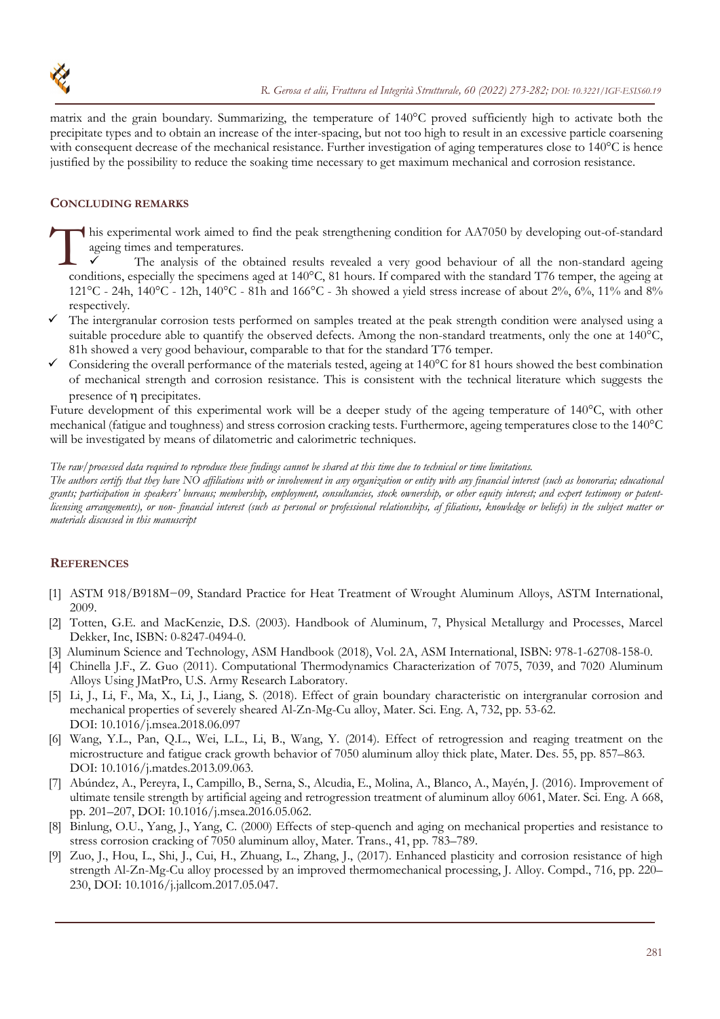

matrix and the grain boundary. Summarizing, the temperature of 140°C proved sufficiently high to activate both the precipitate types and to obtain an increase of the inter-spacing, but not too high to result in an excessive particle coarsening with consequent decrease of the mechanical resistance. Further investigation of aging temperatures close to 140°C is hence justified by the possibility to reduce the soaking time necessary to get maximum mechanical and corrosion resistance.

## **CONCLUDING REMARKS**

his experimental work aimed to find the peak strengthening condition for AA7050 by developing out-of-standard ageing times and temperatures. This

 The analysis of the obtained results revealed a very good behaviour of all the non-standard ageing conditions, especially the specimens aged at 140°C, 81 hours. If compared with the standard T76 temper, the ageing at 121<sup>o</sup>C - 24h, 140<sup>o</sup>C - 12h, 140<sup>o</sup>C - 81h and 166<sup>o</sup>C - 3h showed a yield stress increase of about 2%, 6%, 11% and 8% respectively.

- $\checkmark$  The intergranular corrosion tests performed on samples treated at the peak strength condition were analysed using a suitable procedure able to quantify the observed defects. Among the non-standard treatments, only the one at 140°C, 81h showed a very good behaviour, comparable to that for the standard T76 temper.
- Considering the overall performance of the materials tested, ageing at 140°C for 81 hours showed the best combination of mechanical strength and corrosion resistance. This is consistent with the technical literature which suggests the presence of  $\eta$  precipitates.

Future development of this experimental work will be a deeper study of the ageing temperature of 140°C, with other mechanical (fatigue and toughness) and stress corrosion cracking tests. Furthermore, ageing temperatures close to the 140°C will be investigated by means of dilatometric and calorimetric techniques.

*The raw/processed data required to reproduce these findings cannot be shared at this time due to technical or time limitations.*

*The authors certify that they have NO affiliations with or involvement in any organization or entity with any financial interest (such as honoraria; educational grants; participation in speakers' bureaus; membership, employment, consultancies, stock ownership, or other equity interest; and expert testimony or patentlicensing arrangements), or non- financial interest (such as personal or professional relationships, af filiations, knowledge or beliefs) in the subject matter or materials discussed in this manuscript* 

## **REFERENCES**

- [1] ASTM 918/B918M−09, Standard Practice for Heat Treatment of Wrought Aluminum Alloys, ASTM International, 2009.
- [2] Totten, G.E. and MacKenzie, D.S. (2003). Handbook of Aluminum, 7, Physical Metallurgy and Processes, Marcel Dekker, Inc, ISBN: 0-8247-0494-0.
- [3] Aluminum Science and Technology, ASM Handbook (2018), Vol. 2A, ASM International, ISBN: 978-1-62708-158-0.
- [4] Chinella J.F., Z. Guo (2011). Computational Thermodynamics Characterization of 7075, 7039, and 7020 Aluminum Alloys Using JMatPro, U.S. Army Research Laboratory.
- [5] Li, J., Li, F., Ma, X., Li, J., Liang, S. (2018). Effect of grain boundary characteristic on intergranular corrosion and mechanical properties of severely sheared Al-Zn-Mg-Cu alloy, Mater. Sci. Eng. A, 732, pp. 53-62. DOI: 10.1016/j.msea.2018.06.097
- [6] Wang, Y.L., Pan, Q.L., Wei, L.L., Li, B., Wang, Y. (2014). Effect of retrogression and reaging treatment on the microstructure and fatigue crack growth behavior of 7050 aluminum alloy thick plate, Mater. Des. 55, pp. 857–863. DOI: 10.1016/j.matdes.2013.09.063.
- [7] Abúndez, A., Pereyra, I., Campillo, B., Serna, S., Alcudia, E., Molina, A., Blanco, A., Mayén, J. (2016). Improvement of ultimate tensile strength by artificial ageing and retrogression treatment of aluminum alloy 6061, Mater. Sci. Eng. A 668, pp. 201–207, DOI: 10.1016/j.msea.2016.05.062.
- [8] Binlung, O.U., Yang, J., Yang, C. (2000) Effects of step-quench and aging on mechanical properties and resistance to stress corrosion cracking of 7050 aluminum alloy, Mater. Trans., 41, pp. 783–789.
- [9] Zuo, J., Hou, L., Shi, J., Cui, H., Zhuang, L., Zhang, J., (2017). Enhanced plasticity and corrosion resistance of high strength Al-Zn-Mg-Cu alloy processed by an improved thermomechanical processing, J. Alloy. Compd., 716, pp. 220– 230, DOI: 10.1016/j.jallcom.2017.05.047.